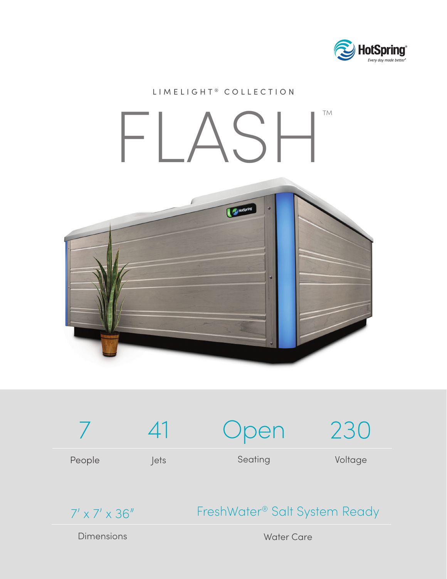

## LIMELIGHT<sup>®</sup> COLLECTION FLASH™HotSpring  $\ddot{a}$





## FreshWater® Salt System Ready

**Dimensions** 

Water Care